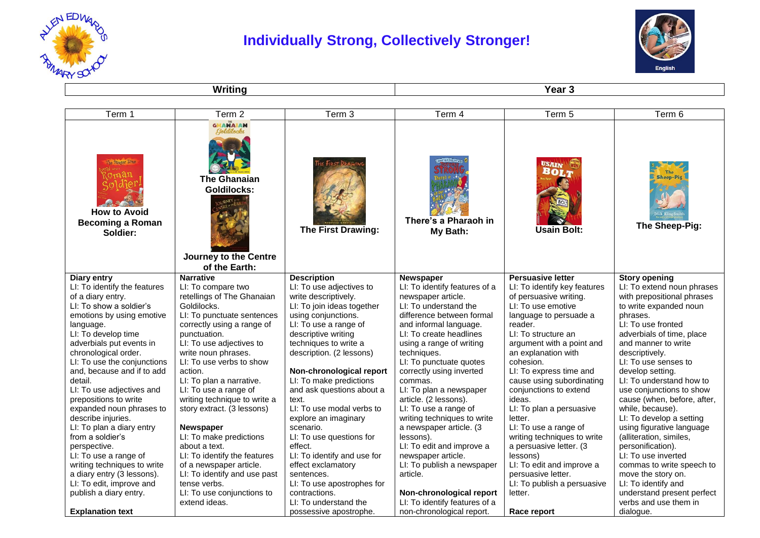

## **Individually Strong, Collectively Stronger!**



**Writing Year 3** 

| Term 1                                                                                                                                                                                                                                                                                                                                                                                                                                             | Term 2                                                                                                                                                                                                                                                                                                                                                                                                                   | Term 3                                                                                                                                                                                                                                                                                                                                                                                                           | Term 4                                                                                                                                                                                                                                                                                                                                                                                                                                                       | Term 5                                                                                                                                                                                                                                                                                                                                                                                                                          | Term 6                                                                                                                                                                                                                                                                                                                                                                                                                                                     |
|----------------------------------------------------------------------------------------------------------------------------------------------------------------------------------------------------------------------------------------------------------------------------------------------------------------------------------------------------------------------------------------------------------------------------------------------------|--------------------------------------------------------------------------------------------------------------------------------------------------------------------------------------------------------------------------------------------------------------------------------------------------------------------------------------------------------------------------------------------------------------------------|------------------------------------------------------------------------------------------------------------------------------------------------------------------------------------------------------------------------------------------------------------------------------------------------------------------------------------------------------------------------------------------------------------------|--------------------------------------------------------------------------------------------------------------------------------------------------------------------------------------------------------------------------------------------------------------------------------------------------------------------------------------------------------------------------------------------------------------------------------------------------------------|---------------------------------------------------------------------------------------------------------------------------------------------------------------------------------------------------------------------------------------------------------------------------------------------------------------------------------------------------------------------------------------------------------------------------------|------------------------------------------------------------------------------------------------------------------------------------------------------------------------------------------------------------------------------------------------------------------------------------------------------------------------------------------------------------------------------------------------------------------------------------------------------------|
| The Danger Zone<br><b>How to Avoid</b><br><b>Becoming a Roman</b><br>Soldier:                                                                                                                                                                                                                                                                                                                                                                      | GHANAIAN<br>Solditoch<br><b>The Ghanaian</b><br><b>Goldilocks:</b><br>Journey to the Centre<br>of the Earth:                                                                                                                                                                                                                                                                                                             | The First Drawing:                                                                                                                                                                                                                                                                                                                                                                                               | There's a Pharaoh in<br>My Bath:                                                                                                                                                                                                                                                                                                                                                                                                                             | USAIN<br>BOLT<br><b>Usain Bolt:</b>                                                                                                                                                                                                                                                                                                                                                                                             | <b>Sheep-Pig</b><br>The Sheep-Pig:                                                                                                                                                                                                                                                                                                                                                                                                                         |
| Diary entry                                                                                                                                                                                                                                                                                                                                                                                                                                        | <b>Narrative</b>                                                                                                                                                                                                                                                                                                                                                                                                         | <b>Description</b>                                                                                                                                                                                                                                                                                                                                                                                               | <b>Newspaper</b>                                                                                                                                                                                                                                                                                                                                                                                                                                             | <b>Persuasive letter</b>                                                                                                                                                                                                                                                                                                                                                                                                        | <b>Story opening</b>                                                                                                                                                                                                                                                                                                                                                                                                                                       |
| LI: To identify the features<br>of a diary entry.<br>LI: To show a soldier's<br>emotions by using emotive<br>language.<br>LI: To develop time<br>adverbials put events in<br>chronological order.<br>LI: To use the conjunctions<br>and, because and if to add<br>detail.<br>LI: To use adjectives and<br>prepositions to write<br>expanded noun phrases to<br>describe injuries.<br>LI: To plan a diary entry<br>from a soldier's<br>perspective. | LI: To compare two<br>retellings of The Ghanaian<br>Goldilocks.<br>LI: To punctuate sentences<br>correctly using a range of<br>punctuation.<br>LI: To use adjectives to<br>write noun phrases.<br>LI: To use verbs to show<br>action.<br>LI: To plan a narrative.<br>LI: To use a range of<br>writing technique to write a<br>story extract. (3 lessons)<br><b>Newspaper</b><br>LI: To make predictions<br>about a text. | LI: To use adjectives to<br>write descriptively.<br>LI: To join ideas together<br>using conjunctions.<br>LI: To use a range of<br>descriptive writing<br>techniques to write a<br>description. (2 lessons)<br>Non-chronological report<br>LI: To make predictions<br>and ask questions about a<br>text.<br>LI: To use modal verbs to<br>explore an imaginary<br>scenario.<br>LI: To use questions for<br>effect. | LI: To identify features of a<br>newspaper article.<br>LI: To understand the<br>difference between formal<br>and informal language.<br>LI: To create headlines<br>using a range of writing<br>techniques.<br>LI: To punctuate quotes<br>correctly using inverted<br>commas.<br>LI: To plan a newspaper<br>article. (2 lessons).<br>LI: To use a range of<br>writing techniques to write<br>a newspaper article. (3<br>lessons).<br>LI: To edit and improve a | LI: To identify key features<br>of persuasive writing.<br>LI: To use emotive<br>language to persuade a<br>reader.<br>LI: To structure an<br>argument with a point and<br>an explanation with<br>cohesion.<br>LI: To express time and<br>cause using subordinating<br>conjunctions to extend<br>ideas.<br>LI: To plan a persuasive<br>letter.<br>LI: To use a range of<br>writing techniques to write<br>a persuasive letter. (3 | LI: To extend noun phrases<br>with prepositional phrases<br>to write expanded noun<br>phrases.<br>LI: To use fronted<br>adverbials of time, place<br>and manner to write<br>descriptively.<br>LI: To use senses to<br>develop setting.<br>LI: To understand how to<br>use conjunctions to show<br>cause (when, before, after,<br>while, because).<br>LI: To develop a setting<br>using figurative language<br>(alliteration, similes,<br>personification). |
| LI: To use a range of<br>writing techniques to write                                                                                                                                                                                                                                                                                                                                                                                               | LI: To identify the features<br>of a newspaper article.                                                                                                                                                                                                                                                                                                                                                                  | LI: To identify and use for<br>effect exclamatory                                                                                                                                                                                                                                                                                                                                                                | newspaper article.<br>LI: To publish a newspaper                                                                                                                                                                                                                                                                                                                                                                                                             | lessons)<br>LI: To edit and improve a                                                                                                                                                                                                                                                                                                                                                                                           | LI: To use inverted<br>commas to write speech to                                                                                                                                                                                                                                                                                                                                                                                                           |
| a diary entry (3 lessons).                                                                                                                                                                                                                                                                                                                                                                                                                         | LI: To identify and use past                                                                                                                                                                                                                                                                                                                                                                                             | sentences.                                                                                                                                                                                                                                                                                                                                                                                                       | article.                                                                                                                                                                                                                                                                                                                                                                                                                                                     | persuasive letter.                                                                                                                                                                                                                                                                                                                                                                                                              | move the story on.                                                                                                                                                                                                                                                                                                                                                                                                                                         |
| LI: To edit, improve and                                                                                                                                                                                                                                                                                                                                                                                                                           | tense verbs.                                                                                                                                                                                                                                                                                                                                                                                                             | LI: To use apostrophes for                                                                                                                                                                                                                                                                                                                                                                                       |                                                                                                                                                                                                                                                                                                                                                                                                                                                              | LI: To publish a persuasive                                                                                                                                                                                                                                                                                                                                                                                                     | LI: To identify and                                                                                                                                                                                                                                                                                                                                                                                                                                        |
| publish a diary entry.                                                                                                                                                                                                                                                                                                                                                                                                                             | LI: To use conjunctions to                                                                                                                                                                                                                                                                                                                                                                                               | contractions.                                                                                                                                                                                                                                                                                                                                                                                                    | Non-chronological report                                                                                                                                                                                                                                                                                                                                                                                                                                     | letter.                                                                                                                                                                                                                                                                                                                                                                                                                         | understand present perfect                                                                                                                                                                                                                                                                                                                                                                                                                                 |
|                                                                                                                                                                                                                                                                                                                                                                                                                                                    | extend ideas.                                                                                                                                                                                                                                                                                                                                                                                                            | LI: To understand the                                                                                                                                                                                                                                                                                                                                                                                            | LI: To identify features of a                                                                                                                                                                                                                                                                                                                                                                                                                                |                                                                                                                                                                                                                                                                                                                                                                                                                                 | verbs and use them in                                                                                                                                                                                                                                                                                                                                                                                                                                      |
| <b>Explanation text</b>                                                                                                                                                                                                                                                                                                                                                                                                                            |                                                                                                                                                                                                                                                                                                                                                                                                                          | possessive apostrophe.                                                                                                                                                                                                                                                                                                                                                                                           | non-chronological report.                                                                                                                                                                                                                                                                                                                                                                                                                                    | Race report                                                                                                                                                                                                                                                                                                                                                                                                                     | dialogue.                                                                                                                                                                                                                                                                                                                                                                                                                                                  |